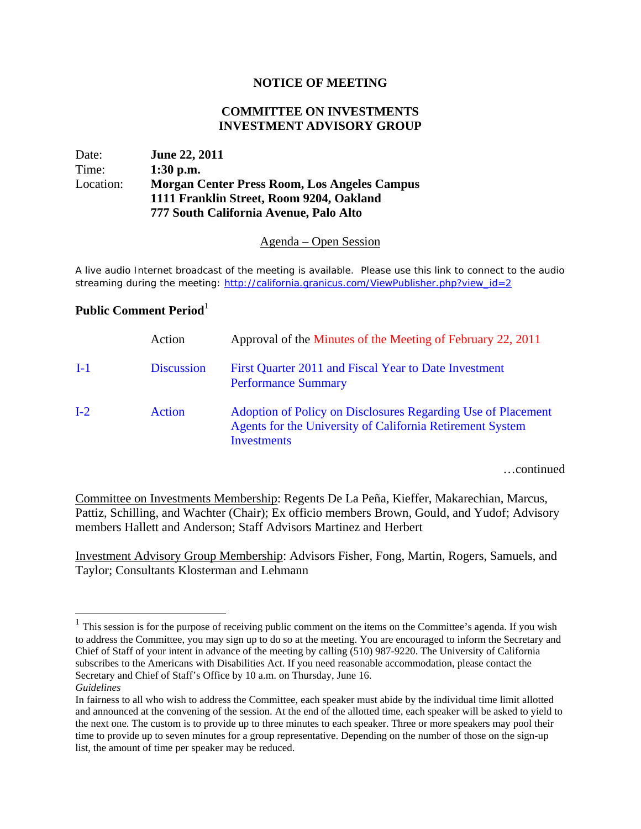### **NOTICE OF MEETING**

### **COMMITTEE ON INVESTMENTS INVESTMENT ADVISORY GROUP**

# Date: **June 22, 2011**  Time: **1:30 p.m.** Location: **Morgan Center Press Room, Los Angeles Campus 1111 Franklin Street, Room 9204, Oakland 777 South California Avenue, Palo Alto**

#### Agenda – Open Session

A live audio Internet broadcast of the meeting is available. Please use this link to connect to the audio streaming during the meeting: http://california.granicus.com/ViewPublisher.php?view\_id=2

# **Public Comment Period**<sup>1</sup>

1

|       | Action            | Approval of the Minutes of the Meeting of February 22, 2011                                                                                     |
|-------|-------------------|-------------------------------------------------------------------------------------------------------------------------------------------------|
| $I-1$ | <b>Discussion</b> | First Quarter 2011 and Fiscal Year to Date Investment<br><b>Performance Summary</b>                                                             |
| $I-2$ | <b>Action</b>     | Adoption of Policy on Disclosures Regarding Use of Placement<br>Agents for the University of California Retirement System<br><b>Investments</b> |

…continued

Committee on Investments Membership: Regents De La Peña, Kieffer, Makarechian, Marcus, Pattiz, Schilling, and Wachter (Chair); Ex officio members Brown, Gould, and Yudof; Advisory members Hallett and Anderson; Staff Advisors Martinez and Herbert

Investment Advisory Group Membership: Advisors Fisher, Fong, Martin, Rogers, Samuels, and Taylor; Consultants Klosterman and Lehmann

 $<sup>1</sup>$  This session is for the purpose of receiving public comment on the items on the Committee's agenda. If you wish</sup> to address the Committee, you may sign up to do so at the meeting. You are encouraged to inform the Secretary and Chief of Staff of your intent in advance of the meeting by calling (510) 987-9220. The University of California subscribes to the Americans with Disabilities Act. If you need reasonable accommodation, please contact the Secretary and Chief of Staff's Office by 10 a.m. on Thursday, June 16. *Guidelines*

In fairness to all who wish to address the Committee, each speaker must abide by the individual time limit allotted and announced at the convening of the session. At the end of the allotted time, each speaker will be asked to yield to the next one. The custom is to provide up to three minutes to each speaker. Three or more speakers may pool their time to provide up to seven minutes for a group representative. Depending on the number of those on the sign-up list, the amount of time per speaker may be reduced.